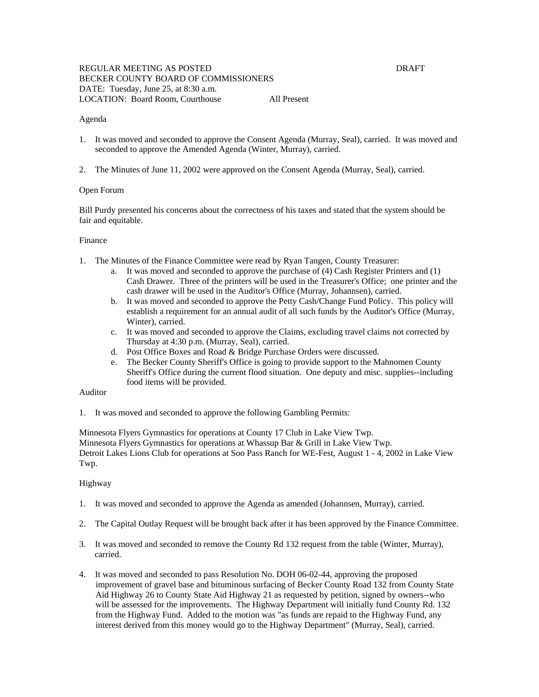#### Agenda

- 1. It was moved and seconded to approve the Consent Agenda (Murray, Seal), carried. It was moved and seconded to approve the Amended Agenda (Winter, Murray), carried.
- 2. The Minutes of June 11, 2002 were approved on the Consent Agenda (Murray, Seal), carried.

#### Open Forum

Bill Purdy presented his concerns about the correctness of his taxes and stated that the system should be fair and equitable.

#### Finance

- 1. The Minutes of the Finance Committee were read by Ryan Tangen, County Treasurer:
	- a. It was moved and seconded to approve the purchase of (4) Cash Register Printers and (1) Cash Drawer. Three of the printers will be used in the Treasurer's Office; one printer and the cash drawer will be used in the Auditor's Office (Murray, Johannsen), carried.
	- b. It was moved and seconded to approve the Petty Cash/Change Fund Policy. This policy will establish a requirement for an annual audit of all such funds by the Auditor's Office (Murray, Winter), carried.
	- c. It was moved and seconded to approve the Claims, excluding travel claims not corrected by Thursday at 4:30 p.m. (Murray, Seal), carried.
	- d. Post Office Boxes and Road & Bridge Purchase Orders were discussed.
	- e. The Becker County Sheriff's Office is going to provide support to the Mahnomen County Sheriff's Office during the current flood situation. One deputy and misc. supplies--including food items will be provided.

#### Auditor

1. It was moved and seconded to approve the following Gambling Permits:

Minnesota Flyers Gymnastics for operations at County 17 Club in Lake View Twp. Minnesota Flyers Gymnastics for operations at Whassup Bar & Grill in Lake View Twp. Detroit Lakes Lions Club for operations at Soo Pass Ranch for WE-Fest, August 1 - 4, 2002 in Lake View Twp.

# Highway

- 1. It was moved and seconded to approve the Agenda as amended (Johannsen, Murray), carried.
- 2. The Capital Outlay Request will be brought back after it has been approved by the Finance Committee.
- 3. It was moved and seconded to remove the County Rd 132 request from the table (Winter, Murray), carried.
- 4. It was moved and seconded to pass Resolution No. DOH 06-02-44, approving the proposed improvement of gravel base and bituminous surfacing of Becker County Road 132 from County State Aid Highway 26 to County State Aid Highway 21 as requested by petition, signed by owners--who will be assessed for the improvements. The Highway Department will initially fund County Rd. 132 from the Highway Fund. Added to the motion was "as funds are repaid to the Highway Fund, any interest derived from this money would go to the Highway Department" (Murray, Seal), carried.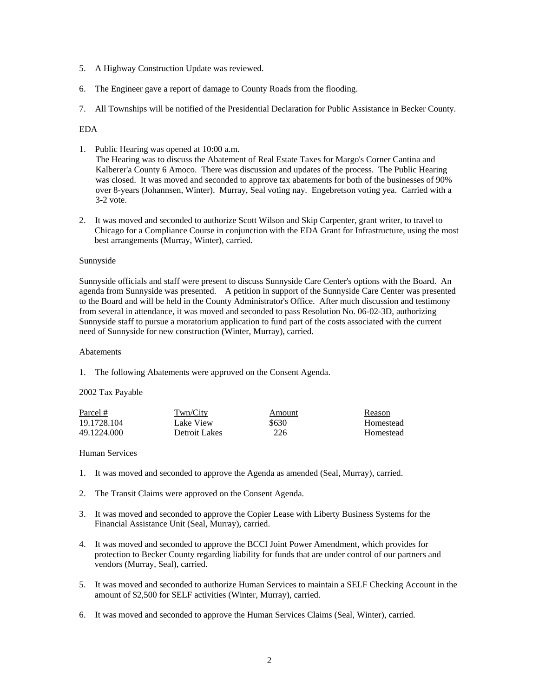- 5. A Highway Construction Update was reviewed.
- 6. The Engineer gave a report of damage to County Roads from the flooding.
- 7. All Townships will be notified of the Presidential Declaration for Public Assistance in Becker County.

# EDA

- 1. Public Hearing was opened at 10:00 a.m. The Hearing was to discuss the Abatement of Real Estate Taxes for Margo's Corner Cantina and Kalberer'a County 6 Amoco. There was discussion and updates of the process. The Public Hearing was closed. It was moved and seconded to approve tax abatements for both of the businesses of 90% over 8-years (Johannsen, Winter). Murray, Seal voting nay. Engebretson voting yea. Carried with a 3-2 vote.
- 2. It was moved and seconded to authorize Scott Wilson and Skip Carpenter, grant writer, to travel to Chicago for a Compliance Course in conjunction with the EDA Grant for Infrastructure, using the most best arrangements (Murray, Winter), carried.

## Sunnyside

Sunnyside officials and staff were present to discuss Sunnyside Care Center's options with the Board. An agenda from Sunnyside was presented. A petition in support of the Sunnyside Care Center was presented to the Board and will be held in the County Administrator's Office. After much discussion and testimony from several in attendance, it was moved and seconded to pass Resolution No. 06-02-3D, authorizing Sunnyside staff to pursue a moratorium application to fund part of the costs associated with the current need of Sunnyside for new construction (Winter, Murray), carried.

## Abatements

1. The following Abatements were approved on the Consent Agenda.

## 2002 Tax Payable

| Parcel #    | Twn/City      | Amount | Reason    |
|-------------|---------------|--------|-----------|
| 19.1728.104 | Lake View     | \$630  | Homestead |
| 49.1224.000 | Detroit Lakes | 226    | Homestead |

## Human Services

- 1. It was moved and seconded to approve the Agenda as amended (Seal, Murray), carried.
- 2. The Transit Claims were approved on the Consent Agenda.
- 3. It was moved and seconded to approve the Copier Lease with Liberty Business Systems for the Financial Assistance Unit (Seal, Murray), carried.
- 4. It was moved and seconded to approve the BCCI Joint Power Amendment, which provides for protection to Becker County regarding liability for funds that are under control of our partners and vendors (Murray, Seal), carried.
- 5. It was moved and seconded to authorize Human Services to maintain a SELF Checking Account in the amount of \$2,500 for SELF activities (Winter, Murray), carried.
- 6. It was moved and seconded to approve the Human Services Claims (Seal, Winter), carried.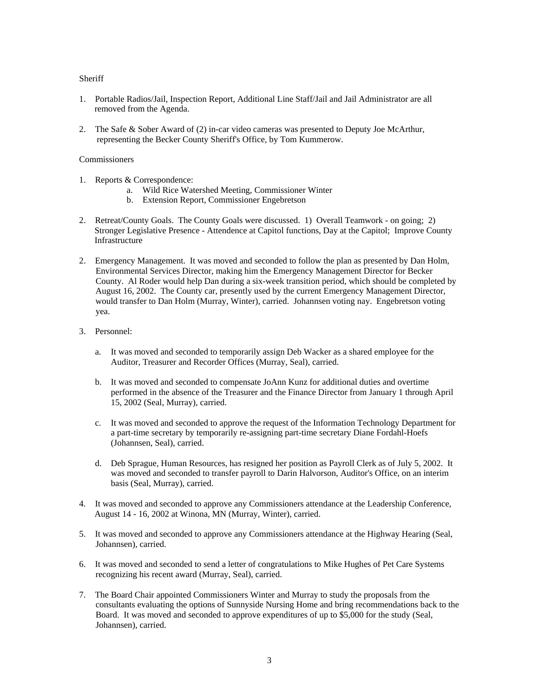# **Sheriff**

- 1. Portable Radios/Jail, Inspection Report, Additional Line Staff/Jail and Jail Administrator are all removed from the Agenda.
- 2. The Safe & Sober Award of (2) in-car video cameras was presented to Deputy Joe McArthur, representing the Becker County Sheriff's Office, by Tom Kummerow.

# **Commissioners**

- 1. Reports & Correspondence:
	- a. Wild Rice Watershed Meeting, Commissioner Winter
	- b. Extension Report, Commissioner Engebretson
- 2. Retreat/County Goals. The County Goals were discussed. 1) Overall Teamwork on going; 2) Stronger Legislative Presence - Attendence at Capitol functions, Day at the Capitol; Improve County Infrastructure
- 2. Emergency Management. It was moved and seconded to follow the plan as presented by Dan Holm, Environmental Services Director, making him the Emergency Management Director for Becker County. Al Roder would help Dan during a six-week transition period, which should be completed by August 16, 2002. The County car, presently used by the current Emergency Management Director, would transfer to Dan Holm (Murray, Winter), carried. Johannsen voting nay. Engebretson voting yea.
- 3. Personnel:
	- a. It was moved and seconded to temporarily assign Deb Wacker as a shared employee for the Auditor, Treasurer and Recorder Offices (Murray, Seal), carried.
	- b. It was moved and seconded to compensate JoAnn Kunz for additional duties and overtime performed in the absence of the Treasurer and the Finance Director from January 1 through April 15, 2002 (Seal, Murray), carried.
	- c. It was moved and seconded to approve the request of the Information Technology Department for a part-time secretary by temporarily re-assigning part-time secretary Diane Fordahl-Hoefs (Johannsen, Seal), carried.
	- d. Deb Sprague, Human Resources, has resigned her position as Payroll Clerk as of July 5, 2002. It was moved and seconded to transfer payroll to Darin Halvorson, Auditor's Office, on an interim basis (Seal, Murray), carried.
- 4. It was moved and seconded to approve any Commissioners attendance at the Leadership Conference, August 14 - 16, 2002 at Winona, MN (Murray, Winter), carried.
- 5. It was moved and seconded to approve any Commissioners attendance at the Highway Hearing (Seal, Johannsen), carried.
- 6. It was moved and seconded to send a letter of congratulations to Mike Hughes of Pet Care Systems recognizing his recent award (Murray, Seal), carried.
- 7. The Board Chair appointed Commissioners Winter and Murray to study the proposals from the consultants evaluating the options of Sunnyside Nursing Home and bring recommendations back to the Board. It was moved and seconded to approve expenditures of up to \$5,000 for the study (Seal, Johannsen), carried.